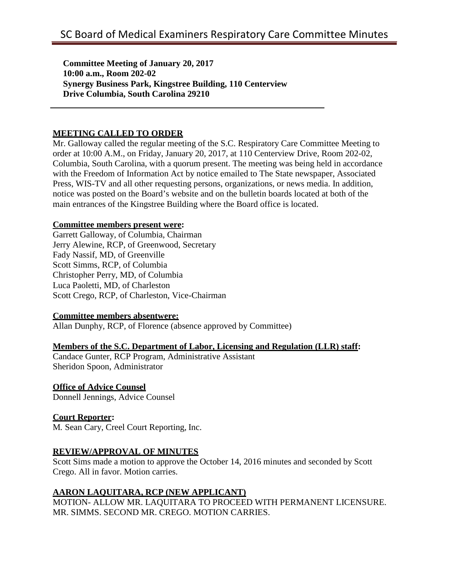**Committee Meeting of January 20, 2017 10:00 a.m., Room 202-02 Synergy Business Park, Kingstree Building, 110 Centerview Drive Columbia, South Carolina 29210**

#### **MEETING CALLED TO ORDER**

Mr. Galloway called the regular meeting of the S.C. Respiratory Care Committee Meeting to order at 10:00 A.M., on Friday, January 20, 2017, at 110 Centerview Drive, Room 202-02, Columbia, South Carolina, with a quorum present. The meeting was being held in accordance with the Freedom of Information Act by notice emailed to The State newspaper, Associated Press, WIS-TV and all other requesting persons, organizations, or news media. In addition, notice was posted on the Board's website and on the bulletin boards located at both of the main entrances of the Kingstree Building where the Board office is located.

#### **Committee members present were:**

Garrett Galloway, of Columbia, Chairman Jerry Alewine, RCP, of Greenwood, Secretary Fady Nassif, MD, of Greenville Scott Simms, RCP, of Columbia Christopher Perry, MD, of Columbia Luca Paoletti, MD, of Charleston Scott Crego, RCP, of Charleston, Vice-Chairman

#### **Committee members absentwere:**

Allan Dunphy, RCP, of Florence (absence approved by Committee)

#### **Members of the S.C. Department of Labor, Licensing and Regulation (LLR) staff:**

Candace Gunter, RCP Program, Administrative Assistant Sheridon Spoon, Administrator

#### **Office of Advice Counsel**

Donnell Jennings, Advice Counsel

# **Court Reporter:**

M. Sean Cary, Creel Court Reporting, Inc.

# **REVIEW/APPROVAL OF MINUTES**

Scott Sims made a motion to approve the October 14, 2016 minutes and seconded by Scott Crego. All in favor. Motion carries.

# **AARON LAQUITARA, RCP (NEW APPLICANT)**

MOTION- ALLOW MR. LAQUITARA TO PROCEED WITH PERMANENT LICENSURE. MR. SIMMS. SECOND MR. CREGO. MOTION CARRIES.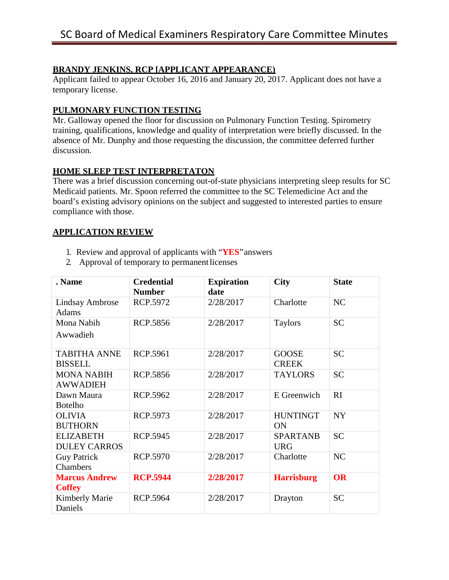# **BRANDY JENKINS, RCP [APPLICANT APPEARANCE)**

Applicant failed to appear October 16, 2016 and January 20, 2017. Applicant does not have a temporary license.

# **PULMONARY FUNCTION TESTING**

Mr. Galloway opened the floor for discussion on Pulmonary Function Testing. Spirometry training, qualifications, knowledge and quality of interpretation were briefly discussed. In the absence of Mr. Dunphy and those requesting the discussion, the committee deferred further discussion.

# **HOME SLEEP TEST INTERPRETATON**

There was a brief discussion concerning out-of-state physicians interpreting sleep results for SC Medicaid patients. Mr. Spoon referred the committee to the SC Telemedicine Act and the board's existing advisory opinions on the subject and suggested to interested parties to ensure compliance with those.

#### **APPLICATION REVIEW**

- 1. Review and approval of applicants with "**YES**"answers
- 2. Approval of temporary to permanent licenses

| . Name                                  | <b>Credential</b><br><b>Number</b> | <b>Expiration</b><br>date | <b>City</b>                   | <b>State</b> |
|-----------------------------------------|------------------------------------|---------------------------|-------------------------------|--------------|
| <b>Lindsay Ambrose</b><br>Adams         | RCP.5972                           | 2/28/2017                 | Charlotte                     | NC           |
| Mona Nabih<br>Awwadieh                  | RCP.5856                           | 2/28/2017                 | <b>Taylors</b>                | <b>SC</b>    |
| <b>TABITHA ANNE</b><br><b>BISSELL</b>   | RCP.5961                           | 2/28/2017                 | <b>GOOSE</b><br><b>CREEK</b>  | <b>SC</b>    |
| <b>MONA NABIH</b><br><b>AWWADIEH</b>    | RCP.5856                           | 2/28/2017                 | <b>TAYLORS</b>                | <b>SC</b>    |
| Dawn Maura<br><b>Botelho</b>            | RCP.5962                           | 2/28/2017                 | E Greenwich                   | RI           |
| <b>OLIVIA</b><br><b>BUTHORN</b>         | RCP.5973                           | 2/28/2017                 | <b>HUNTINGT</b><br><b>ON</b>  | <b>NY</b>    |
| <b>ELIZABETH</b><br><b>DULEY CARROS</b> | <b>RCP.5945</b>                    | 2/28/2017                 | <b>SPARTANB</b><br><b>URG</b> | <b>SC</b>    |
| <b>Guy Patrick</b><br>Chambers          | <b>RCP.5970</b>                    | 2/28/2017                 | Charlotte                     | NC           |
| <b>Marcus Andrew</b><br><b>Coffey</b>   | <b>RCP.5944</b>                    | 2/28/2017                 | <b>Harrisburg</b>             | <b>OR</b>    |
| <b>Kimberly Marie</b><br>Daniels        | <b>RCP.5964</b>                    | 2/28/2017                 | Drayton                       | <b>SC</b>    |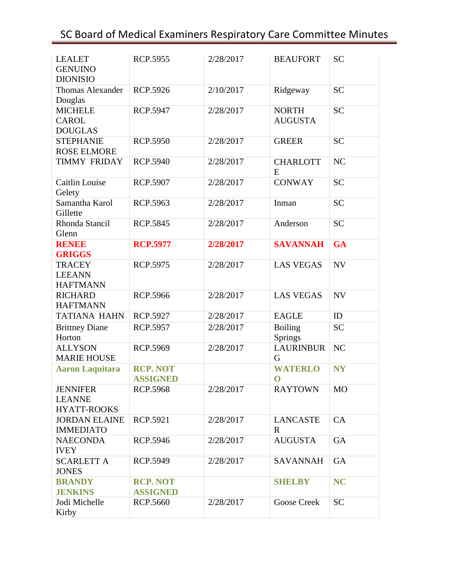# SC Board of Medical Examiners Respiratory Care Committee Minutes

| <b>LEALET</b><br><b>GENUINO</b><br><b>DIONISIO</b>     | <b>RCP.5955</b>                    | 2/28/2017 | <b>BEAUFORT</b>                 | <b>SC</b> |
|--------------------------------------------------------|------------------------------------|-----------|---------------------------------|-----------|
| <b>Thomas Alexander</b><br>Douglas                     | RCP.5926                           | 2/10/2017 | Ridgeway                        | <b>SC</b> |
| <b>MICHELE</b><br><b>CAROL</b><br><b>DOUGLAS</b>       | RCP.5947                           | 2/28/2017 | <b>NORTH</b><br><b>AUGUSTA</b>  | <b>SC</b> |
| <b>STEPHANIE</b><br><b>ROSE ELMORE</b>                 | <b>RCP.5950</b>                    | 2/28/2017 | <b>GREER</b>                    | <b>SC</b> |
| <b>TIMMY FRIDAY</b>                                    | <b>RCP.5940</b>                    | 2/28/2017 | <b>CHARLOTT</b><br>E            | NC        |
| <b>Caitlin Louise</b><br>Gelety                        | <b>RCP.5907</b>                    | 2/28/2017 | <b>CONWAY</b>                   | <b>SC</b> |
| Samantha Karol<br>Gillette                             | RCP.5963                           | 2/28/2017 | Inman                           | <b>SC</b> |
| Rhonda Stancil<br>Glenn                                | RCP.5845                           | 2/28/2017 | Anderson                        | <b>SC</b> |
| <b>RENEE</b><br><b>GRIGGS</b>                          | <b>RCP.5977</b>                    | 2/28/2017 | <b>SAVANNAH</b>                 | <b>GA</b> |
| <b>TRACEY</b><br><b>LEEANN</b><br><b>HAFTMANN</b>      | RCP.5975                           | 2/28/2017 | <b>LAS VEGAS</b>                | <b>NV</b> |
| <b>RICHARD</b><br><b>HAFTMANN</b>                      | RCP.5966                           | 2/28/2017 | <b>LAS VEGAS</b>                | <b>NV</b> |
| <b>TATIANA HAHN</b>                                    | RCP.5927                           | 2/28/2017 | <b>EAGLE</b>                    | ID        |
| <b>Brittney Diane</b><br>Horton                        | <b>RCP.5957</b>                    | 2/28/2017 | <b>Boiling</b><br>Springs       | <b>SC</b> |
| <b>ALLYSON</b><br><b>MARIE HOUSE</b>                   | RCP.5969                           | 2/28/2017 | <b>LAURINBUR</b><br>G           | NC        |
| <b>Aaron Laquitara</b>                                 | <b>RCP. NOT</b><br><b>ASSIGNED</b> |           | <b>WATERLO</b><br>$\bf{O}$      | <b>NY</b> |
| <b>JENNIFER</b><br><b>LEANNE</b><br><b>HYATT-ROOKS</b> | <b>RCP.5968</b>                    | 2/28/2017 | <b>RAYTOWN</b>                  | <b>MO</b> |
| <b>JORDAN ELAINE</b><br><b>IMMEDIATO</b>               | RCP.5921                           | 2/28/2017 | <b>LANCASTE</b><br>$\mathbf{R}$ | CA        |
| <b>NAECONDA</b><br><b>IVEY</b>                         | RCP.5946                           | 2/28/2017 | <b>AUGUSTA</b>                  | GA        |
| <b>SCARLETT A</b><br><b>JONES</b>                      | RCP.5949                           | 2/28/2017 | <b>SAVANNAH</b>                 | <b>GA</b> |
| <b>BRANDY</b><br><b>JENKINS</b>                        | <b>RCP. NOT</b><br><b>ASSIGNED</b> |           | <b>SHELBY</b>                   | <b>NC</b> |
| Jodi Michelle<br>Kirby                                 | <b>RCP.5660</b>                    | 2/28/2017 | <b>Goose Creek</b>              | <b>SC</b> |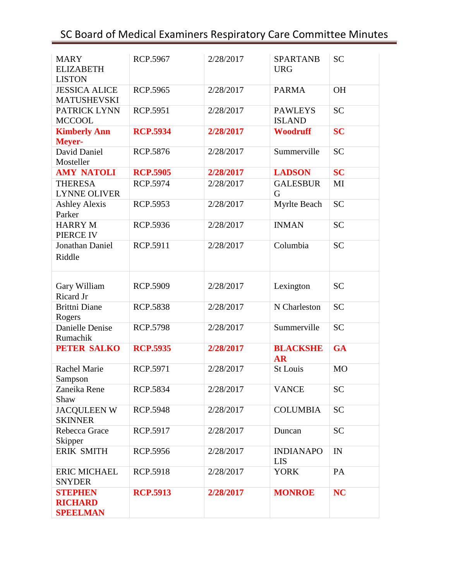| <b>MARY</b><br><b>ELIZABETH</b><br><b>LISTON</b>    | RCP.5967        | 2/28/2017 | <b>SPARTANB</b><br><b>URG</b>   | <b>SC</b>      |
|-----------------------------------------------------|-----------------|-----------|---------------------------------|----------------|
| <b>JESSICA ALICE</b><br><b>MATUSHEVSKI</b>          | RCP.5965        | 2/28/2017 | <b>PARMA</b>                    | <b>OH</b>      |
| PATRICK LYNN<br><b>MCCOOL</b>                       | RCP.5951        | 2/28/2017 | <b>PAWLEYS</b><br><b>ISLAND</b> | <b>SC</b>      |
| <b>Kimberly Ann</b><br>Meyer-                       | <b>RCP.5934</b> | 2/28/2017 | <b>Woodruff</b>                 | <b>SC</b>      |
| David Daniel<br>Mosteller                           | <b>RCP.5876</b> | 2/28/2017 | Summerville                     | <b>SC</b>      |
| <b>AMY NATOLI</b>                                   | <b>RCP.5905</b> | 2/28/2017 | <b>LADSON</b>                   | <b>SC</b>      |
| <b>THERESA</b><br><b>LYNNE OLIVER</b>               | RCP.5974        | 2/28/2017 | <b>GALESBUR</b><br>G            | MI             |
| <b>Ashley Alexis</b><br>Parker                      | RCP.5953        | 2/28/2017 | Myrlte Beach                    | <b>SC</b>      |
| <b>HARRY M</b><br>PIERCE IV                         | RCP.5936        | 2/28/2017 | <b>INMAN</b>                    | <b>SC</b>      |
| Jonathan Daniel<br>Riddle                           | RCP.5911        | 2/28/2017 | Columbia                        | <b>SC</b>      |
| Gary William<br>Ricard Jr                           | <b>RCP.5909</b> | 2/28/2017 | Lexington                       | <b>SC</b>      |
| <b>Brittni Diane</b><br>Rogers                      | <b>RCP.5838</b> | 2/28/2017 | N Charleston                    | <b>SC</b>      |
| Danielle Denise<br>Rumachik                         | <b>RCP.5798</b> | 2/28/2017 | Summerville                     | <b>SC</b>      |
| <b>PETER SALKO</b>                                  | <b>RCP.5935</b> | 2/28/2017 | <b>BLACKSHE</b><br><b>AR</b>    | GA             |
| <b>Rachel Marie</b><br>Sampson                      | <b>RCP.5971</b> | 2/28/2017 | <b>St Louis</b>                 | M <sub>O</sub> |
| Zaneika Rene<br>Shaw                                | RCP.5834        | 2/28/2017 | <b>VANCE</b>                    | <b>SC</b>      |
| <b>JACQULEEN W</b><br><b>SKINNER</b>                | <b>RCP.5948</b> | 2/28/2017 | <b>COLUMBIA</b>                 | <b>SC</b>      |
| Rebecca Grace<br>Skipper                            | RCP.5917        | 2/28/2017 | Duncan                          | <b>SC</b>      |
| <b>ERIK SMITH</b>                                   | RCP.5956        | 2/28/2017 | <b>INDIANAPO</b><br><b>LIS</b>  | IN             |
| <b>ERIC MICHAEL</b><br><b>SNYDER</b>                | <b>RCP.5918</b> | 2/28/2017 | <b>YORK</b>                     | PA             |
| <b>STEPHEN</b><br><b>RICHARD</b><br><b>SPEELMAN</b> | <b>RCP.5913</b> | 2/28/2017 | <b>MONROE</b>                   | <b>NC</b>      |